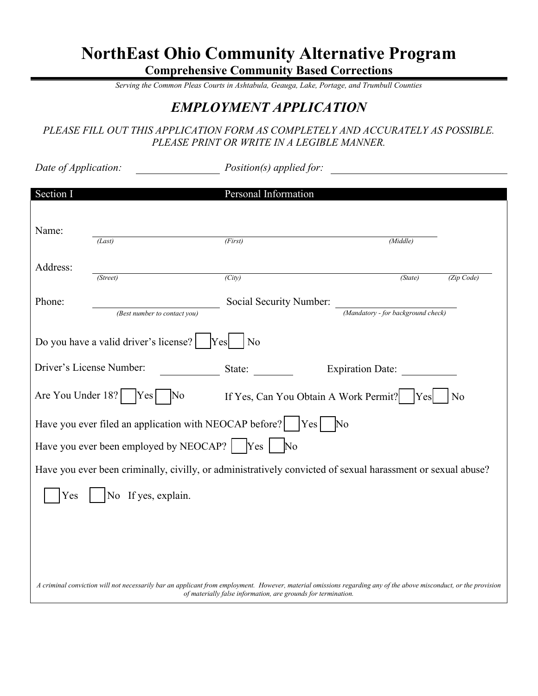# **NorthEast Ohio Community Alternative Program**

**Comprehensive Community Based Corrections** 

*Serving the Common Pleas Courts in Ashtabula, Geauga, Lake, Portage, and Trumbull Counties* 

### *EMPLOYMENT APPLICATION*

#### *PLEASE FILL OUT THIS APPLICATION FORM AS COMPLETELY AND ACCURATELY AS POSSIBLE. PLEASE PRINT OR WRITE IN A LEGIBLE MANNER.*

| Date of Application: |                                                                                                                                                                  | Position(s) applied for:                                      |                                    |                |
|----------------------|------------------------------------------------------------------------------------------------------------------------------------------------------------------|---------------------------------------------------------------|------------------------------------|----------------|
| Section I            |                                                                                                                                                                  | Personal Information                                          |                                    |                |
| Name:                | (Last)                                                                                                                                                           | (First)                                                       | (Middle)                           |                |
| Address:             | (Street)                                                                                                                                                         | $\overline{(City)}$                                           | (State)                            | (Zip Code)     |
| Phone:               | (Best number to contact you)                                                                                                                                     | Social Security Number:                                       | (Mandatory - for background check) |                |
|                      | Do you have a valid driver's license?                                                                                                                            | No<br>Yes                                                     |                                    |                |
|                      | Driver's License Number:                                                                                                                                         | State:                                                        | Expiration Date:                   |                |
| Are You Under 18?    | $ Yes $ No                                                                                                                                                       | If Yes, Can You Obtain A Work Permit?                         | Yes                                | N <sub>0</sub> |
|                      | Have you ever filed an application with NEOCAP before?<br>Have you ever been employed by NEOCAP?   Yes   No                                                      | Yes                                                           | $\overline{\text{No}}$             |                |
|                      | Have you ever been criminally, civilly, or administratively convicted of sexual harassment or sexual abuse?                                                      |                                                               |                                    |                |
| Yes                  | No If yes, explain.                                                                                                                                              |                                                               |                                    |                |
|                      |                                                                                                                                                                  |                                                               |                                    |                |
|                      |                                                                                                                                                                  |                                                               |                                    |                |
|                      | A criminal conviction will not necessarily bar an applicant from employment. However, material omissions regarding any of the above misconduct, or the provision | of materially false information, are grounds for termination. |                                    |                |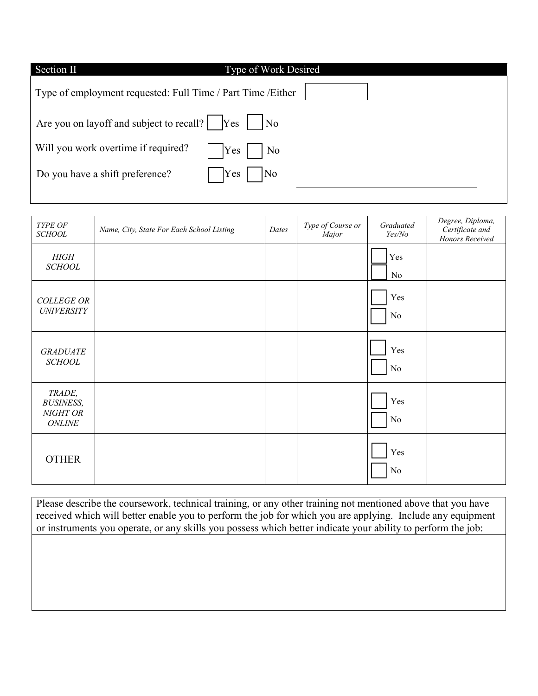| <b>Type of Work Desired</b><br>Section II                                                                          |  |
|--------------------------------------------------------------------------------------------------------------------|--|
| Type of employment requested: Full Time / Part Time / Either                                                       |  |
| Are you on layoff and subject to recall? $\begin{bmatrix} \gamma_{\text{es}} \end{bmatrix}$<br>$\overline{\rm No}$ |  |
| Will you work overtime if required?<br>Yes<br>$\overline{\phantom{a}}$ No                                          |  |
| Do you have a shift preference?<br> Yes <br> No                                                                    |  |

| TYPE OF<br><b>SCHOOL</b>                                | Name, City, State For Each School Listing | Dates | Type of Course or<br>Major | Graduated<br>Yes/No | Degree, Diploma,<br>Certificate and<br>Honors Received |
|---------------------------------------------------------|-------------------------------------------|-------|----------------------------|---------------------|--------------------------------------------------------|
| HIGH<br><b>SCHOOL</b>                                   |                                           |       |                            | Yes<br>No           |                                                        |
| <b>COLLEGE OR</b><br><b>UNIVERSITY</b>                  |                                           |       |                            | Yes<br>No           |                                                        |
| <b>GRADUATE</b><br><b>SCHOOL</b>                        |                                           |       |                            | Yes<br>No           |                                                        |
| TRADE,<br><b>BUSINESS,</b><br>NIGHT OR<br><b>ONLINE</b> |                                           |       |                            | Yes<br>No           |                                                        |
| <b>OTHER</b>                                            |                                           |       |                            | Yes<br>No           |                                                        |

Please describe the coursework, technical training, or any other training not mentioned above that you have received which will better enable you to perform the job for which you are applying. Include any equipment or instruments you operate, or any skills you possess which better indicate your ability to perform the job: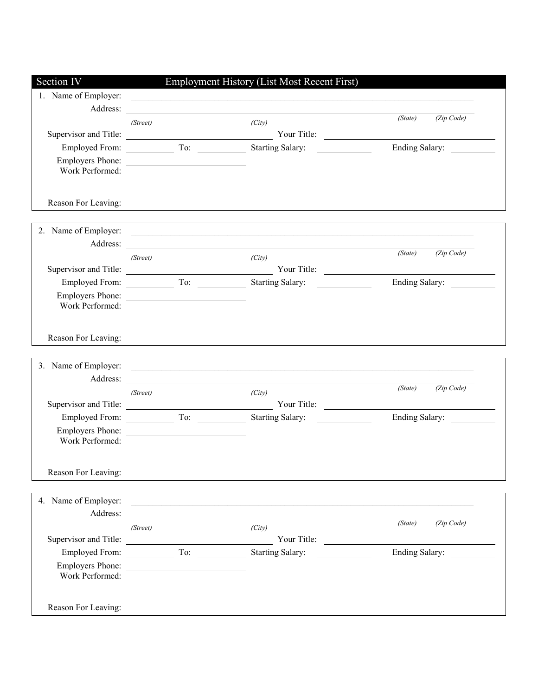| Section IV              |                        | Employment History (List Most Recent First)                                                                           |                                                                                           |
|-------------------------|------------------------|-----------------------------------------------------------------------------------------------------------------------|-------------------------------------------------------------------------------------------|
| 1. Name of Employer:    |                        | <u> 1989 - Johann Stoff, amerikansk politiker (d. 1989)</u>                                                           |                                                                                           |
| Address:                |                        |                                                                                                                       |                                                                                           |
|                         | (Street)               | (City)                                                                                                                | (Zip Code)<br>(State)                                                                     |
|                         |                        |                                                                                                                       | the control of the control of the control of the control of the control of the control of |
|                         | Employed From: To: To: | Starting Salary:                                                                                                      | <b>Ending Salary:</b>                                                                     |
|                         | Employers Phone:       |                                                                                                                       |                                                                                           |
| Work Performed:         |                        |                                                                                                                       |                                                                                           |
|                         |                        |                                                                                                                       |                                                                                           |
| Reason For Leaving:     |                        |                                                                                                                       |                                                                                           |
|                         |                        |                                                                                                                       |                                                                                           |
|                         |                        |                                                                                                                       |                                                                                           |
|                         |                        | Address:                                                                                                              |                                                                                           |
|                         | (Street)               | (City)                                                                                                                | (Zip Code)<br>(State)                                                                     |
|                         |                        | Supervisor and Title: <u>New Your Title:</u> Your Title:                                                              |                                                                                           |
| <b>Employed From:</b>   | To:                    | Starting Salary:                                                                                                      | <b>Ending Salary:</b>                                                                     |
|                         | Employers Phone:       |                                                                                                                       |                                                                                           |
| Work Performed:         |                        |                                                                                                                       |                                                                                           |
|                         |                        |                                                                                                                       |                                                                                           |
| Reason For Leaving:     |                        |                                                                                                                       |                                                                                           |
|                         |                        |                                                                                                                       |                                                                                           |
| 3. Name of Employer:    |                        | <u> 1989 - Johann Stoff, deutscher Stoffen und der Stoffen und der Stoffen und der Stoffen und der Stoffen und de</u> |                                                                                           |
| Address:                |                        | the contract of the contract of the contract of the contract of the contract of the contract of the contract of       |                                                                                           |
|                         | (Street)               | (City)                                                                                                                | (Zip Code)<br>(State)                                                                     |
|                         |                        |                                                                                                                       |                                                                                           |
|                         |                        |                                                                                                                       | Ending Salary:                                                                            |
| <b>Employers Phone:</b> |                        |                                                                                                                       |                                                                                           |
| Work Performed:         |                        |                                                                                                                       |                                                                                           |
|                         |                        |                                                                                                                       |                                                                                           |
| Reason For Leaving:     |                        |                                                                                                                       |                                                                                           |
|                         |                        |                                                                                                                       |                                                                                           |
|                         |                        | 4. Name of Employer:                                                                                                  |                                                                                           |
| Address:                |                        |                                                                                                                       |                                                                                           |
|                         | (Street)               | (City)                                                                                                                | (Zip Code)<br>(State)                                                                     |
|                         |                        |                                                                                                                       |                                                                                           |
|                         |                        | Employed From: To: Starting Salary:                                                                                   | Ending Salary:                                                                            |
|                         | Employers Phone:       |                                                                                                                       |                                                                                           |
| Work Performed:         |                        |                                                                                                                       |                                                                                           |
|                         |                        |                                                                                                                       |                                                                                           |
| Reason For Leaving:     |                        |                                                                                                                       |                                                                                           |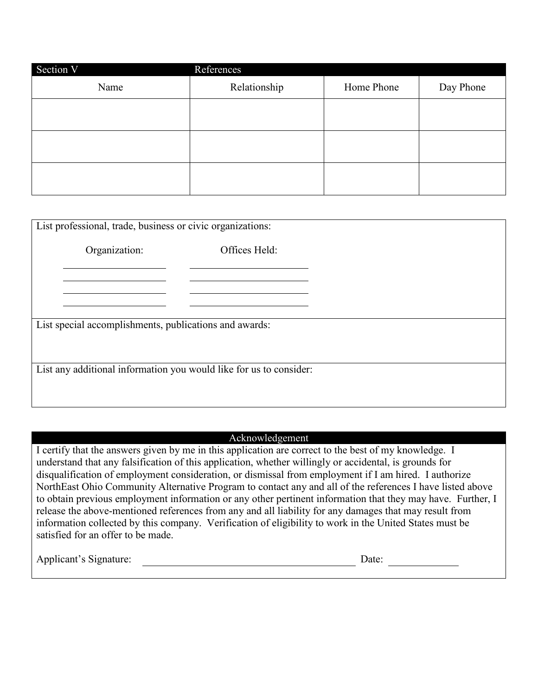| Section V | References   |            |           |
|-----------|--------------|------------|-----------|
| Name      | Relationship | Home Phone | Day Phone |
|           |              |            |           |
|           |              |            |           |
|           |              |            |           |
|           |              |            |           |
|           |              |            |           |
|           |              |            |           |

| List professional, trade, business or civic organizations:         |                                                        |               |  |
|--------------------------------------------------------------------|--------------------------------------------------------|---------------|--|
|                                                                    | Organization:                                          | Offices Held: |  |
|                                                                    |                                                        |               |  |
|                                                                    |                                                        |               |  |
|                                                                    | List special accomplishments, publications and awards: |               |  |
|                                                                    |                                                        |               |  |
|                                                                    |                                                        |               |  |
| List any additional information you would like for us to consider: |                                                        |               |  |
|                                                                    |                                                        |               |  |

#### Acknowledgement

I certify that the answers given by me in this application are correct to the best of my knowledge. I understand that any falsification of this application, whether willingly or accidental, is grounds for disqualification of employment consideration, or dismissal from employment if I am hired. I authorize NorthEast Ohio Community Alternative Program to contact any and all of the references I have listed above to obtain previous employment information or any other pertinent information that they may have. Further, I release the above-mentioned references from any and all liability for any damages that may result from information collected by this company. Verification of eligibility to work in the United States must be satisfied for an offer to be made.

Applicant's Signature: